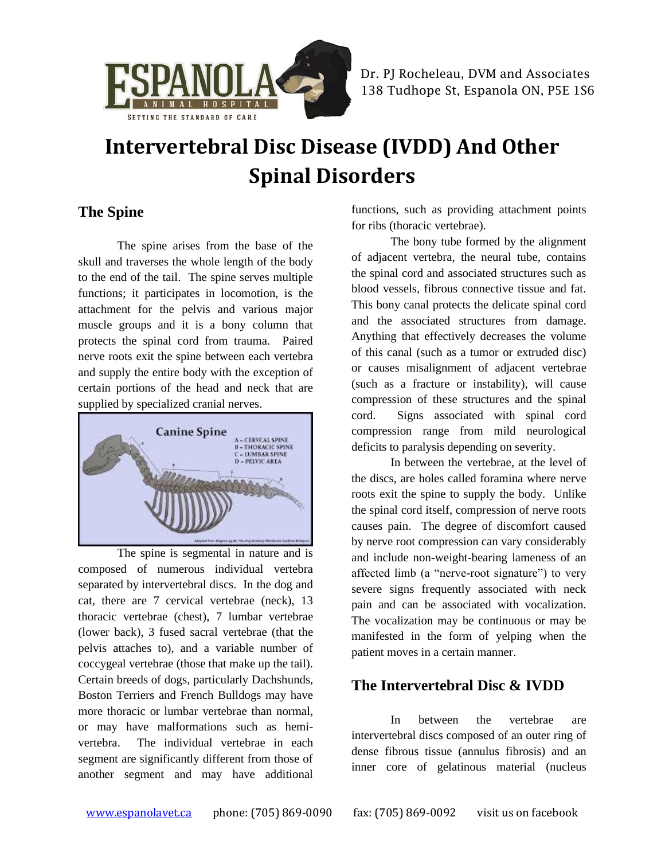

# **Intervertebral Disc Disease (IVDD) And Other Spinal Disorders**

## **The Spine**

The spine arises from the base of the skull and traverses the whole length of the body to the end of the tail. The spine serves multiple functions; it participates in locomotion, is the attachment for the pelvis and various major muscle groups and it is a bony column that protects the spinal cord from trauma. Paired nerve roots exit the spine between each vertebra and supply the entire body with the exception of certain portions of the head and neck that are supplied by specialized cranial nerves.



The spine is segmental in nature and is composed of numerous individual vertebra separated by intervertebral discs. In the dog and cat, there are 7 cervical vertebrae (neck), 13 thoracic vertebrae (chest), 7 lumbar vertebrae (lower back), 3 fused sacral vertebrae (that the pelvis attaches to), and a variable number of coccygeal vertebrae (those that make up the tail). Certain breeds of dogs, particularly Dachshunds, Boston Terriers and French Bulldogs may have more thoracic or lumbar vertebrae than normal, or may have malformations such as hemivertebra. The individual vertebrae in each segment are significantly different from those of another segment and may have additional

functions, such as providing attachment points for ribs (thoracic vertebrae).

The bony tube formed by the alignment of adjacent vertebra, the neural tube, contains the spinal cord and associated structures such as blood vessels, fibrous connective tissue and fat. This bony canal protects the delicate spinal cord and the associated structures from damage. Anything that effectively decreases the volume of this canal (such as a tumor or extruded disc) or causes misalignment of adjacent vertebrae (such as a fracture or instability), will cause compression of these structures and the spinal cord. Signs associated with spinal cord compression range from mild neurological deficits to paralysis depending on severity.

In between the vertebrae, at the level of the discs, are holes called foramina where nerve roots exit the spine to supply the body. Unlike the spinal cord itself, compression of nerve roots causes pain. The degree of discomfort caused by nerve root compression can vary considerably and include non-weight-bearing lameness of an affected limb (a "nerve-root signature") to very severe signs frequently associated with neck pain and can be associated with vocalization. The vocalization may be continuous or may be manifested in the form of yelping when the patient moves in a certain manner.

## **The Intervertebral Disc & IVDD**

In between the vertebrae are intervertebral discs composed of an outer ring of dense fibrous tissue (annulus fibrosis) and an inner core of gelatinous material (nucleus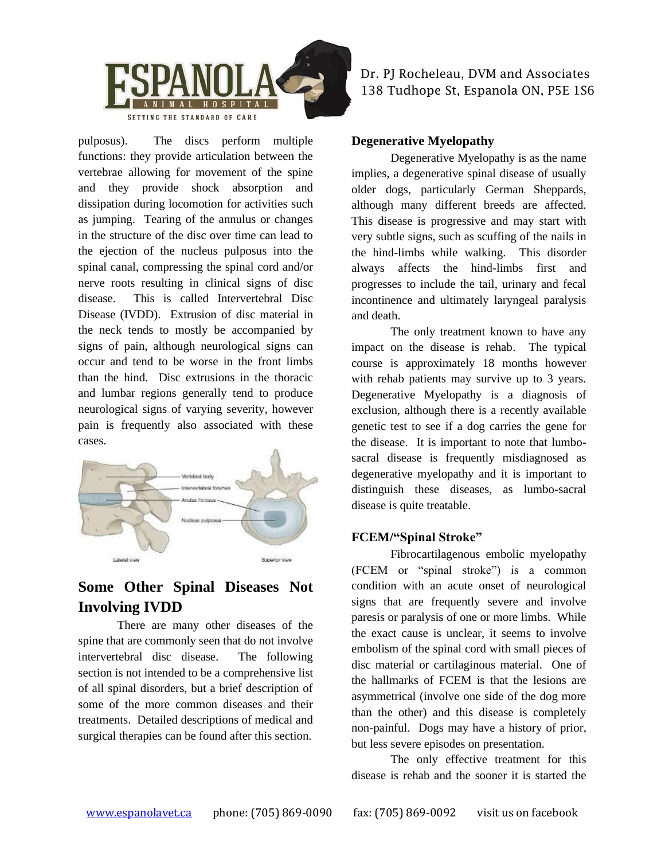

pulposus). The discs perform multiple functions: they provide articulation between the vertebrae allowing for movement of the spine and they provide shock absorption and dissipation during locomotion for activities such as jumping. Tearing of the annulus or changes in the structure of the disc over time can lead to the ejection of the nucleus pulposus into the spinal canal, compressing the spinal cord and/or nerve roots resulting in clinical signs of disc disease. This is called Intervertebral Disc Disease (IVDD). Extrusion of disc material in the neck tends to mostly be accompanied by signs of pain, although neurological signs can occur and tend to be worse in the front limbs than the hind. Disc extrusions in the thoracic and lumbar regions generally tend to produce neurological signs of varying severity, however pain is frequently also associated with these cases.



## **Some Other Spinal Diseases Not Involving IVDD**

There are many other diseases of the spine that are commonly seen that do not involve intervertebral disc disease. The following section is not intended to be a comprehensive list of all spinal disorders, but a brief description of some of the more common diseases and their treatments. Detailed descriptions of medical and surgical therapies can be found after this section.

Dr. PJ Rocheleau, DVM and Associates 138 Tudhope St, Espanola ON, P5E 1S6

#### **Degenerative Myelopathy**

Degenerative Myelopathy is as the name implies, a degenerative spinal disease of usually older dogs, particularly German Sheppards, although many different breeds are affected. This disease is progressive and may start with very subtle signs, such as scuffing of the nails in the hind-limbs while walking. This disorder always affects the hind-limbs first and progresses to include the tail, urinary and fecal incontinence and ultimately laryngeal paralysis and death.

The only treatment known to have any impact on the disease is rehab. The typical course is approximately 18 months however with rehab patients may survive up to 3 years. Degenerative Myelopathy is a diagnosis of exclusion, although there is a recently available genetic test to see if a dog carries the gene for the disease. It is important to note that lumbosacral disease is frequently misdiagnosed as degenerative myelopathy and it is important to distinguish these diseases, as lumbo-sacral disease is quite treatable.

#### **FCEM/"Spinal Stroke"**

Fibrocartilagenous embolic myelopathy (FCEM or "spinal stroke") is a common condition with an acute onset of neurological signs that are frequently severe and involve paresis or paralysis of one or more limbs. While the exact cause is unclear, it seems to involve embolism of the spinal cord with small pieces of disc material or cartilaginous material. One of the hallmarks of FCEM is that the lesions are asymmetrical (involve one side of the dog more than the other) and this disease is completely non-painful. Dogs may have a history of prior, but less severe episodes on presentation.

The only effective treatment for this disease is rehab and the sooner it is started the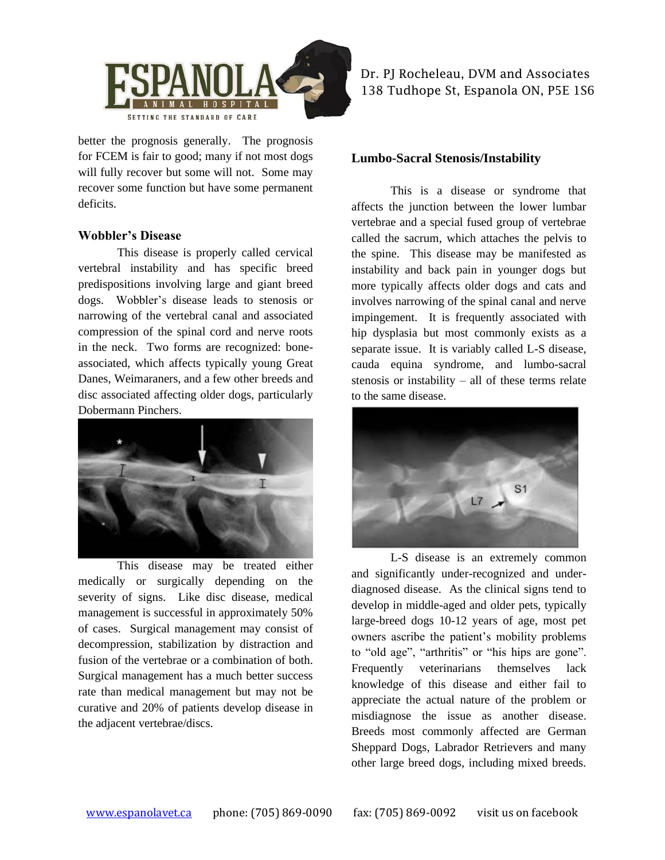

better the prognosis generally. The prognosis for FCEM is fair to good; many if not most dogs will fully recover but some will not. Some may recover some function but have some permanent deficits.

#### **Wobbler's Disease**

This disease is properly called cervical vertebral instability and has specific breed predispositions involving large and giant breed dogs. Wobbler's disease leads to stenosis or narrowing of the vertebral canal and associated compression of the spinal cord and nerve roots in the neck. Two forms are recognized: boneassociated, which affects typically young Great Danes, Weimaraners, and a few other breeds and disc associated affecting older dogs, particularly Dobermann Pinchers.



This disease may be treated either medically or surgically depending on the severity of signs. Like disc disease, medical management is successful in approximately 50% of cases. Surgical management may consist of decompression, stabilization by distraction and fusion of the vertebrae or a combination of both. Surgical management has a much better success rate than medical management but may not be curative and 20% of patients develop disease in the adjacent vertebrae/discs.

Dr. PJ Rocheleau, DVM and Associates 138 Tudhope St, Espanola ON, P5E 1S6

#### **Lumbo-Sacral Stenosis/Instability**

This is a disease or syndrome that affects the junction between the lower lumbar vertebrae and a special fused group of vertebrae called the sacrum, which attaches the pelvis to the spine. This disease may be manifested as instability and back pain in younger dogs but more typically affects older dogs and cats and involves narrowing of the spinal canal and nerve impingement. It is frequently associated with hip dysplasia but most commonly exists as a separate issue. It is variably called L-S disease, cauda equina syndrome, and lumbo-sacral stenosis or instability – all of these terms relate to the same disease.



L-S disease is an extremely common and significantly under-recognized and underdiagnosed disease. As the clinical signs tend to develop in middle-aged and older pets, typically large-breed dogs 10-12 years of age, most pet owners ascribe the patient's mobility problems to "old age", "arthritis" or "his hips are gone". Frequently veterinarians themselves lack knowledge of this disease and either fail to appreciate the actual nature of the problem or misdiagnose the issue as another disease. Breeds most commonly affected are German Sheppard Dogs, Labrador Retrievers and many other large breed dogs, including mixed breeds.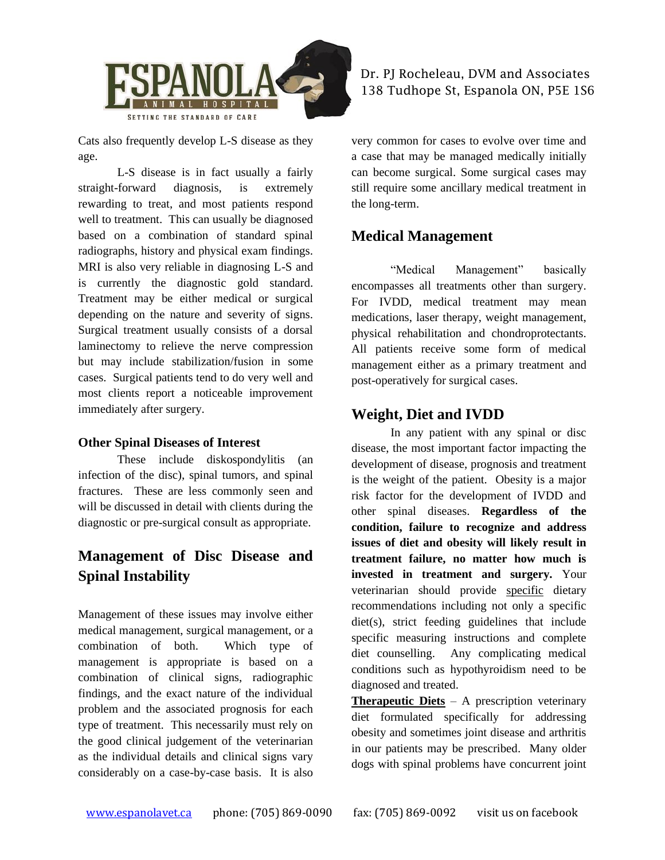

Cats also frequently develop L-S disease as they age.

L-S disease is in fact usually a fairly straight-forward diagnosis, is extremely rewarding to treat, and most patients respond well to treatment. This can usually be diagnosed based on a combination of standard spinal radiographs, history and physical exam findings. MRI is also very reliable in diagnosing L-S and is currently the diagnostic gold standard. Treatment may be either medical or surgical depending on the nature and severity of signs. Surgical treatment usually consists of a dorsal laminectomy to relieve the nerve compression but may include stabilization/fusion in some cases. Surgical patients tend to do very well and most clients report a noticeable improvement immediately after surgery.

#### **Other Spinal Diseases of Interest**

These include diskospondylitis (an infection of the disc), spinal tumors, and spinal fractures. These are less commonly seen and will be discussed in detail with clients during the diagnostic or pre-surgical consult as appropriate.

# **Management of Disc Disease and Spinal Instability**

Management of these issues may involve either medical management, surgical management, or a combination of both. Which type of management is appropriate is based on a combination of clinical signs, radiographic findings, and the exact nature of the individual problem and the associated prognosis for each type of treatment. This necessarily must rely on the good clinical judgement of the veterinarian as the individual details and clinical signs vary considerably on a case-by-case basis. It is also

Dr. PJ Rocheleau, DVM and Associates 138 Tudhope St, Espanola ON, P5E 1S6

very common for cases to evolve over time and a case that may be managed medically initially can become surgical. Some surgical cases may still require some ancillary medical treatment in the long-term.

## **Medical Management**

"Medical Management" basically encompasses all treatments other than surgery. For IVDD, medical treatment may mean medications, laser therapy, weight management, physical rehabilitation and chondroprotectants. All patients receive some form of medical management either as a primary treatment and post-operatively for surgical cases.

## **Weight, Diet and IVDD**

In any patient with any spinal or disc disease, the most important factor impacting the development of disease, prognosis and treatment is the weight of the patient. Obesity is a major risk factor for the development of IVDD and other spinal diseases. **Regardless of the condition, failure to recognize and address issues of diet and obesity will likely result in treatment failure, no matter how much is invested in treatment and surgery.** Your veterinarian should provide specific dietary recommendations including not only a specific diet(s), strict feeding guidelines that include specific measuring instructions and complete diet counselling. Any complicating medical conditions such as hypothyroidism need to be diagnosed and treated.

**Therapeutic Diets** – A prescription veterinary diet formulated specifically for addressing obesity and sometimes joint disease and arthritis in our patients may be prescribed. Many older dogs with spinal problems have concurrent joint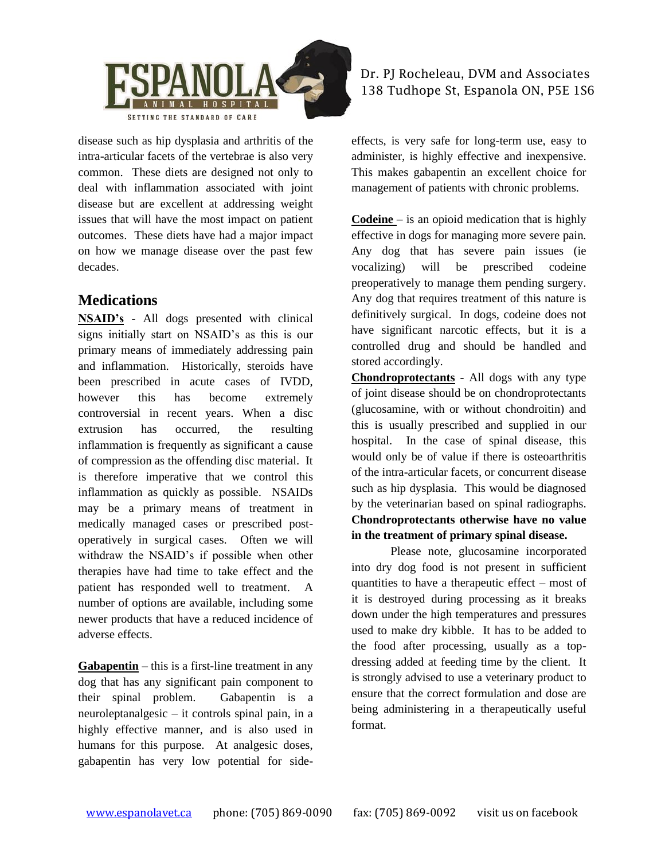

disease such as hip dysplasia and arthritis of the intra-articular facets of the vertebrae is also very common. These diets are designed not only to deal with inflammation associated with joint disease but are excellent at addressing weight issues that will have the most impact on patient outcomes. These diets have had a major impact on how we manage disease over the past few decades.

## **Medications**

**NSAID's** - All dogs presented with clinical signs initially start on NSAID's as this is our primary means of immediately addressing pain and inflammation. Historically, steroids have been prescribed in acute cases of IVDD, however this has become extremely controversial in recent years. When a disc extrusion has occurred, the resulting inflammation is frequently as significant a cause of compression as the offending disc material. It is therefore imperative that we control this inflammation as quickly as possible. NSAIDs may be a primary means of treatment in medically managed cases or prescribed postoperatively in surgical cases. Often we will withdraw the NSAID's if possible when other therapies have had time to take effect and the patient has responded well to treatment. A number of options are available, including some newer products that have a reduced incidence of adverse effects.

**Gabapentin** – this is a first-line treatment in any dog that has any significant pain component to their spinal problem. Gabapentin is a neuroleptanalgesic – it controls spinal pain, in a highly effective manner, and is also used in humans for this purpose. At analgesic doses, gabapentin has very low potential for sideDr. PJ Rocheleau, DVM and Associates 138 Tudhope St, Espanola ON, P5E 1S6

effects, is very safe for long-term use, easy to administer, is highly effective and inexpensive. This makes gabapentin an excellent choice for management of patients with chronic problems.

**Codeine** – is an opioid medication that is highly effective in dogs for managing more severe pain. Any dog that has severe pain issues (ie vocalizing) will be prescribed codeine preoperatively to manage them pending surgery. Any dog that requires treatment of this nature is definitively surgical. In dogs, codeine does not have significant narcotic effects, but it is a controlled drug and should be handled and stored accordingly.

**Chondroprotectants** - All dogs with any type of joint disease should be on chondroprotectants (glucosamine, with or without chondroitin) and this is usually prescribed and supplied in our hospital. In the case of spinal disease, this would only be of value if there is osteoarthritis of the intra-articular facets, or concurrent disease such as hip dysplasia. This would be diagnosed by the veterinarian based on spinal radiographs. **Chondroprotectants otherwise have no value in the treatment of primary spinal disease.**

Please note, glucosamine incorporated into dry dog food is not present in sufficient quantities to have a therapeutic effect – most of it is destroyed during processing as it breaks down under the high temperatures and pressures used to make dry kibble. It has to be added to the food after processing, usually as a topdressing added at feeding time by the client. It is strongly advised to use a veterinary product to ensure that the correct formulation and dose are being administering in a therapeutically useful format.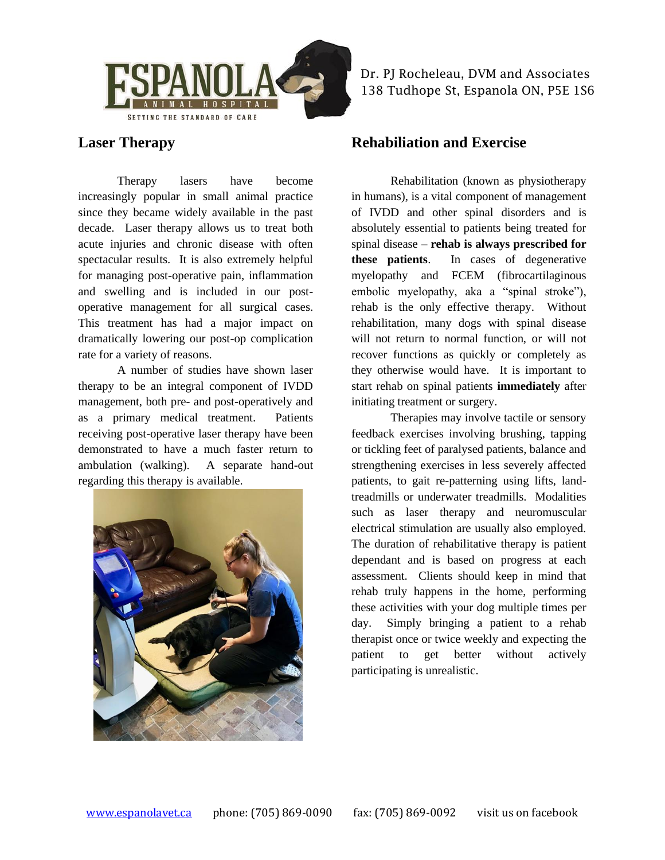

**Laser Therapy**

Therapy lasers have become increasingly popular in small animal practice since they became widely available in the past decade. Laser therapy allows us to treat both acute injuries and chronic disease with often spectacular results. It is also extremely helpful for managing post-operative pain, inflammation and swelling and is included in our postoperative management for all surgical cases. This treatment has had a major impact on dramatically lowering our post-op complication rate for a variety of reasons.

A number of studies have shown laser therapy to be an integral component of IVDD management, both pre- and post-operatively and as a primary medical treatment. Patients receiving post-operative laser therapy have been demonstrated to have a much faster return to ambulation (walking). A separate hand-out regarding this therapy is available.



Dr. PJ Rocheleau, DVM and Associates 138 Tudhope St, Espanola ON, P5E 1S6

## **Rehabiliation and Exercise**

Rehabilitation (known as physiotherapy in humans), is a vital component of management of IVDD and other spinal disorders and is absolutely essential to patients being treated for spinal disease – **rehab is always prescribed for these patients**. In cases of degenerative myelopathy and FCEM (fibrocartilaginous embolic myelopathy, aka a "spinal stroke"), rehab is the only effective therapy. Without rehabilitation, many dogs with spinal disease will not return to normal function, or will not recover functions as quickly or completely as they otherwise would have. It is important to start rehab on spinal patients **immediately** after initiating treatment or surgery.

Therapies may involve tactile or sensory feedback exercises involving brushing, tapping or tickling feet of paralysed patients, balance and strengthening exercises in less severely affected patients, to gait re-patterning using lifts, landtreadmills or underwater treadmills. Modalities such as laser therapy and neuromuscular electrical stimulation are usually also employed. The duration of rehabilitative therapy is patient dependant and is based on progress at each assessment. Clients should keep in mind that rehab truly happens in the home, performing these activities with your dog multiple times per day. Simply bringing a patient to a rehab therapist once or twice weekly and expecting the patient to get better without actively participating is unrealistic.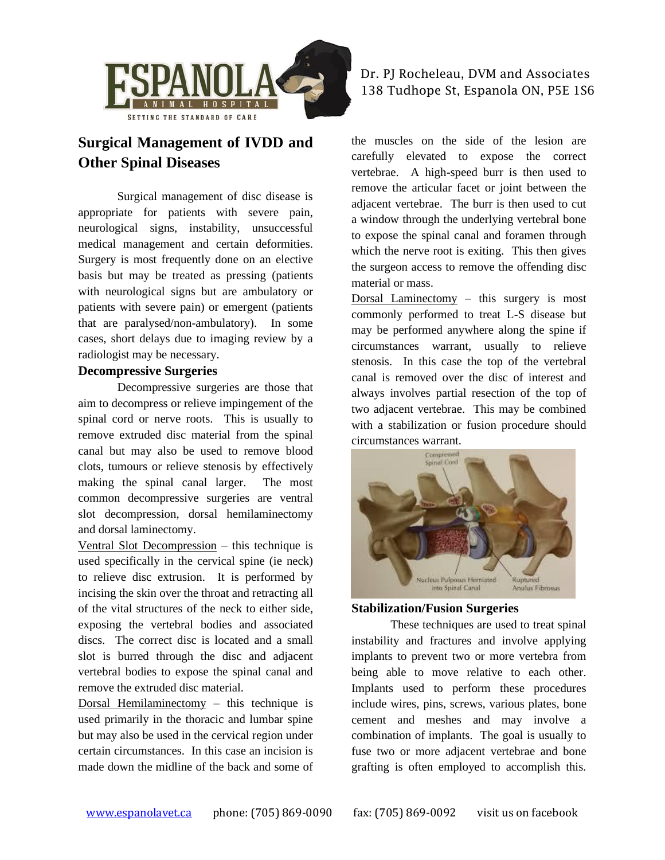

# **Surgical Management of IVDD and Other Spinal Diseases**

Surgical management of disc disease is appropriate for patients with severe pain, neurological signs, instability, unsuccessful medical management and certain deformities. Surgery is most frequently done on an elective basis but may be treated as pressing (patients with neurological signs but are ambulatory or patients with severe pain) or emergent (patients that are paralysed/non-ambulatory). In some cases, short delays due to imaging review by a radiologist may be necessary.

#### **Decompressive Surgeries**

Decompressive surgeries are those that aim to decompress or relieve impingement of the spinal cord or nerve roots. This is usually to remove extruded disc material from the spinal canal but may also be used to remove blood clots, tumours or relieve stenosis by effectively making the spinal canal larger. The most common decompressive surgeries are ventral slot decompression, dorsal hemilaminectomy and dorsal laminectomy.

Ventral Slot Decompression – this technique is used specifically in the cervical spine (ie neck) to relieve disc extrusion. It is performed by incising the skin over the throat and retracting all of the vital structures of the neck to either side, exposing the vertebral bodies and associated discs. The correct disc is located and a small slot is burred through the disc and adjacent vertebral bodies to expose the spinal canal and remove the extruded disc material.

Dorsal Hemilaminectomy  $-$  this technique is used primarily in the thoracic and lumbar spine but may also be used in the cervical region under certain circumstances. In this case an incision is made down the midline of the back and some of

#### Dr. PJ Rocheleau, DVM and Associates 138 Tudhope St, Espanola ON, P5E 1S6

the muscles on the side of the lesion are carefully elevated to expose the correct vertebrae. A high-speed burr is then used to remove the articular facet or joint between the adjacent vertebrae. The burr is then used to cut a window through the underlying vertebral bone to expose the spinal canal and foramen through which the nerve root is exiting. This then gives the surgeon access to remove the offending disc material or mass.

Dorsal Laminectomy – this surgery is most commonly performed to treat L-S disease but may be performed anywhere along the spine if circumstances warrant, usually to relieve stenosis. In this case the top of the vertebral canal is removed over the disc of interest and always involves partial resection of the top of two adjacent vertebrae. This may be combined with a stabilization or fusion procedure should circumstances warrant.



#### **Stabilization/Fusion Surgeries**

These techniques are used to treat spinal instability and fractures and involve applying implants to prevent two or more vertebra from being able to move relative to each other. Implants used to perform these procedures include wires, pins, screws, various plates, bone cement and meshes and may involve a combination of implants. The goal is usually to fuse two or more adjacent vertebrae and bone grafting is often employed to accomplish this.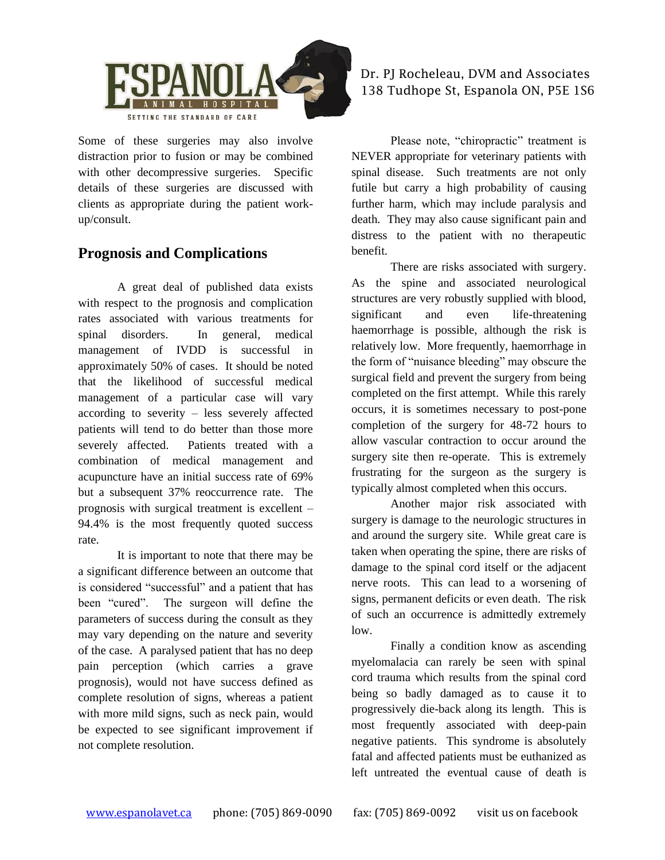

Some of these surgeries may also involve distraction prior to fusion or may be combined with other decompressive surgeries. Specific details of these surgeries are discussed with clients as appropriate during the patient workup/consult.

## **Prognosis and Complications**

A great deal of published data exists with respect to the prognosis and complication rates associated with various treatments for spinal disorders. In general, medical management of IVDD is successful in approximately 50% of cases. It should be noted that the likelihood of successful medical management of a particular case will vary according to severity – less severely affected patients will tend to do better than those more severely affected. Patients treated with a combination of medical management and acupuncture have an initial success rate of 69% but a subsequent 37% reoccurrence rate. The prognosis with surgical treatment is excellent – 94.4% is the most frequently quoted success rate.

It is important to note that there may be a significant difference between an outcome that is considered "successful" and a patient that has been "cured". The surgeon will define the parameters of success during the consult as they may vary depending on the nature and severity of the case. A paralysed patient that has no deep pain perception (which carries a grave prognosis), would not have success defined as complete resolution of signs, whereas a patient with more mild signs, such as neck pain, would be expected to see significant improvement if not complete resolution.

## Dr. PJ Rocheleau, DVM and Associates 138 Tudhope St, Espanola ON, P5E 1S6

Please note, "chiropractic" treatment is NEVER appropriate for veterinary patients with spinal disease. Such treatments are not only futile but carry a high probability of causing further harm, which may include paralysis and death. They may also cause significant pain and distress to the patient with no therapeutic benefit.

There are risks associated with surgery. As the spine and associated neurological structures are very robustly supplied with blood, significant and even life-threatening haemorrhage is possible, although the risk is relatively low. More frequently, haemorrhage in the form of "nuisance bleeding" may obscure the surgical field and prevent the surgery from being completed on the first attempt. While this rarely occurs, it is sometimes necessary to post-pone completion of the surgery for 48-72 hours to allow vascular contraction to occur around the surgery site then re-operate. This is extremely frustrating for the surgeon as the surgery is typically almost completed when this occurs.

Another major risk associated with surgery is damage to the neurologic structures in and around the surgery site. While great care is taken when operating the spine, there are risks of damage to the spinal cord itself or the adjacent nerve roots. This can lead to a worsening of signs, permanent deficits or even death. The risk of such an occurrence is admittedly extremely low.

Finally a condition know as ascending myelomalacia can rarely be seen with spinal cord trauma which results from the spinal cord being so badly damaged as to cause it to progressively die-back along its length. This is most frequently associated with deep-pain negative patients. This syndrome is absolutely fatal and affected patients must be euthanized as left untreated the eventual cause of death is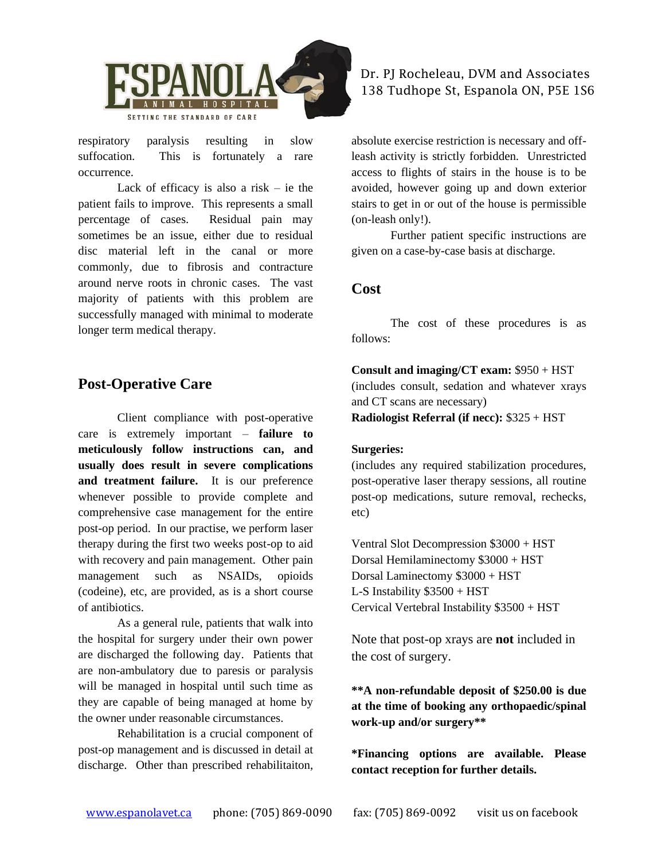

respiratory paralysis resulting in slow suffocation. This is fortunately a rare occurrence.

Lack of efficacy is also a risk  $-$  ie the patient fails to improve. This represents a small percentage of cases. Residual pain may sometimes be an issue, either due to residual disc material left in the canal or more commonly, due to fibrosis and contracture around nerve roots in chronic cases. The vast majority of patients with this problem are successfully managed with minimal to moderate longer term medical therapy.

## **Post-Operative Care**

Client compliance with post-operative care is extremely important – **failure to meticulously follow instructions can, and usually does result in severe complications and treatment failure.** It is our preference whenever possible to provide complete and comprehensive case management for the entire post-op period. In our practise, we perform laser therapy during the first two weeks post-op to aid with recovery and pain management. Other pain management such as NSAIDs, opioids (codeine), etc, are provided, as is a short course of antibiotics.

As a general rule, patients that walk into the hospital for surgery under their own power are discharged the following day. Patients that are non-ambulatory due to paresis or paralysis will be managed in hospital until such time as they are capable of being managed at home by the owner under reasonable circumstances.

Rehabilitation is a crucial component of post-op management and is discussed in detail at discharge. Other than prescribed rehabilitaiton,

#### Dr. PJ Rocheleau, DVM and Associates 138 Tudhope St, Espanola ON, P5E 1S6

absolute exercise restriction is necessary and offleash activity is strictly forbidden. Unrestricted access to flights of stairs in the house is to be avoided, however going up and down exterior stairs to get in or out of the house is permissible (on-leash only!).

Further patient specific instructions are given on a case-by-case basis at discharge.

#### **Cost**

The cost of these procedures is as follows:

**Consult and imaging/CT exam:** \$950 + HST (includes consult, sedation and whatever xrays and CT scans are necessary)

**Radiologist Referral (if necc):** \$325 + HST

#### **Surgeries:**

(includes any required stabilization procedures, post-operative laser therapy sessions, all routine post-op medications, suture removal, rechecks, etc)

Ventral Slot Decompression \$3000 + HST Dorsal Hemilaminectomy \$3000 + HST Dorsal Laminectomy \$3000 + HST L-S Instability \$3500 + HST Cervical Vertebral Instability \$3500 + HST

Note that post-op xrays are **not** included in the cost of surgery.

**\*\*A non-refundable deposit of \$250.00 is due at the time of booking any orthopaedic/spinal work-up and/or surgery\*\***

**\*Financing options are available. Please contact reception for further details.**